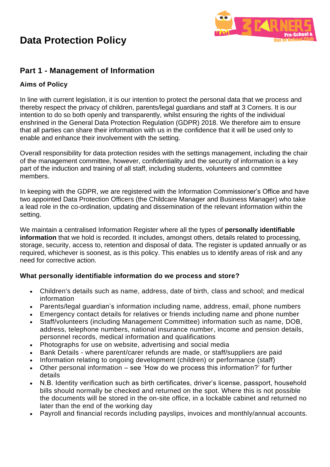

## **Part 1 - Management of Information**

## **Aims of Policy**

In line with current legislation, it is our intention to protect the personal data that we process and thereby respect the privacy of children, parents/legal guardians and staff at 3 Corners. It is our intention to do so both openly and transparently, whilst ensuring the rights of the individual enshrined in the General Data Protection Regulation (GDPR) 2018. We therefore aim to ensure that all parties can share their information with us in the confidence that it will be used only to enable and enhance their involvement with the setting.

Overall responsibility for data protection resides with the settings management, including the chair of the management committee, however, confidentiality and the security of information is a key part of the induction and training of all staff, including students, volunteers and committee members.

In keeping with the GDPR, we are registered with the Information Commissioner's Office and have two appointed Data Protection Officers (the Childcare Manager and Business Manager) who take a lead role in the co-ordination, updating and dissemination of the relevant information within the setting.

We maintain a centralised Information Register where all the types of **personally identifiable information** that we hold is recorded. It includes, amongst others, details related to processing, storage, security, access to, retention and disposal of data. The register is updated annually or as required, whichever is soonest, as is this policy. This enables us to identify areas of risk and any need for corrective action.

### **What personally identifiable information do we process and store?**

- Children's details such as name, address, date of birth, class and school; and medical information
- Parents/legal guardian's information including name, address, email, phone numbers
- Emergency contact details for relatives or friends including name and phone number
- Staff/volunteers (including Management Committee) information such as name, DOB, address, telephone numbers, national insurance number, income and pension details, personnel records, medical information and qualifications
- Photographs for use on website, advertising and social media
- Bank Details where parent/carer refunds are made, or staff/suppliers are paid
- Information relating to ongoing development (children) or performance (staff)
- Other personal information see 'How do we process this information?' for further details
- N.B. Identity verification such as birth certificates, driver's license, passport, household bills should normally be checked and returned on the spot. Where this is not possible the documents will be stored in the on-site office, in a lockable cabinet and returned no later than the end of the working day
- Payroll and financial records including payslips, invoices and monthly/annual accounts.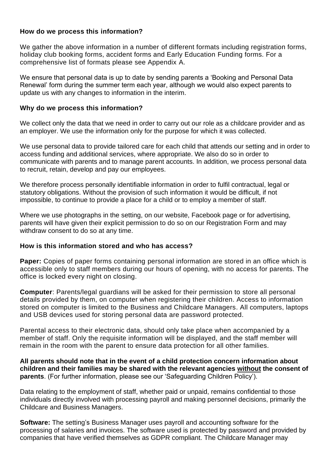### **How do we process this information?**

We gather the above information in a number of different formats including registration forms, holiday club booking forms, accident forms and Early Education Funding forms. For a comprehensive list of formats please see Appendix A.

We ensure that personal data is up to date by sending parents a 'Booking and Personal Data Renewal' form during the summer term each year, although we would also expect parents to update us with any changes to information in the interim.

### **Why do we process this information?**

We collect only the data that we need in order to carry out our role as a childcare provider and as an employer. We use the information only for the purpose for which it was collected.

We use personal data to provide tailored care for each child that attends our setting and in order to access funding and additional services, where appropriate. We also do so in order to communicate with parents and to manage parent accounts. In addition, we process personal data to recruit, retain, develop and pay our employees.

We therefore process personally identifiable information in order to fulfil contractual, legal or statutory obligations. Without the provision of such information it would be difficult, if not impossible, to continue to provide a place for a child or to employ a member of staff.

Where we use photographs in the setting, on our website, Facebook page or for advertising, parents will have given their explicit permission to do so on our Registration Form and may withdraw consent to do so at any time.

#### **How is this information stored and who has access?**

**Paper:** Copies of paper forms containing personal information are stored in an office which is accessible only to staff members during our hours of opening, with no access for parents. The office is locked every night on closing.

**Computer**: Parents/legal guardians will be asked for their permission to store all personal details provided by them, on computer when registering their children. Access to information stored on computer is limited to the Business and Childcare Managers. All computers, laptops and USB devices used for storing personal data are password protected.

Parental access to their electronic data, should only take place when accompanied by a member of staff. Only the requisite information will be displayed, and the staff member will remain in the room with the parent to ensure data protection for all other families.

**All parents should note that in the event of a child protection concern information about children and their families may be shared with the relevant agencies without the consent of parents**. (For further information, please see our 'Safeguarding Children Policy').

Data relating to the employment of staff, whether paid or unpaid, remains confidential to those individuals directly involved with processing payroll and making personnel decisions, primarily the Childcare and Business Managers.

**Software:** The setting's Business Manager uses payroll and accounting software for the processing of salaries and invoices. The software used is protected by password and provided by companies that have verified themselves as GDPR compliant. The Childcare Manager may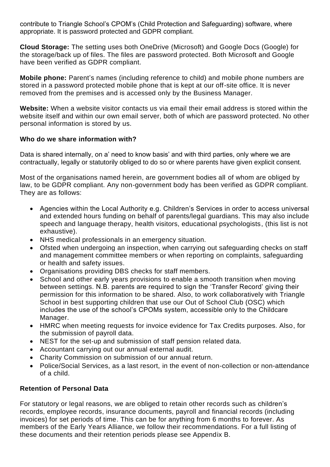contribute to Triangle School's CPOM's (Child Protection and Safeguarding) software, where appropriate. It is password protected and GDPR compliant.

**Cloud Storage:** The setting uses both OneDrive (Microsoft) and Google Docs (Google) for the storage/back up of files. The files are password protected. Both Microsoft and Google have been verified as GDPR compliant.

**Mobile phone:** Parent's names (including reference to child) and mobile phone numbers are stored in a password protected mobile phone that is kept at our off-site office. It is never removed from the premises and is accessed only by the Business Manager.

**Website:** When a website visitor contacts us via email their email address is stored within the website itself and within our own email server, both of which are password protected. No other personal information is stored by us.

### **Who do we share information with?**

Data is shared internally, on a' need to know basis' and with third parties, only where we are contractually, legally or statutorily obliged to do so or where parents have given explicit consent.

Most of the organisations named herein, are government bodies all of whom are obliged by law, to be GDPR compliant. Any non-government body has been verified as GDPR compliant. They are as follows:

- Agencies within the Local Authority e.g. Children's Services in order to access universal and extended hours funding on behalf of parents/legal guardians. This may also include speech and language therapy, health visitors, educational psychologists, (this list is not exhaustive).
- NHS medical professionals in an emergency situation.
- Ofsted when undergoing an inspection, when carrying out safeguarding checks on staff and management committee members or when reporting on complaints, safeguarding or health and safety issues.
- Organisations providing DBS checks for staff members.
- School and other early years provisions to enable a smooth transition when moving between settings. N.B. parents are required to sign the 'Transfer Record' giving their permission for this information to be shared. Also, to work collaboratively with Triangle School in best supporting children that use our Out of School Club (OSC) which includes the use of the school's CPOMs system, accessible only to the Childcare Manager.
- HMRC when meeting requests for invoice evidence for Tax Credits purposes. Also, for the submission of payroll data.
- NEST for the set-up and submission of staff pension related data.
- Accountant carrying out our annual external audit.
- Charity Commission on submission of our annual return.
- Police/Social Services, as a last resort, in the event of non-collection or non-attendance of a child.

### **Retention of Personal Data**

For statutory or legal reasons, we are obliged to retain other records such as children's records, employee records, insurance documents, payroll and financial records (including invoices) for set periods of time. This can be for anything from 6 months to forever. As members of the Early Years Alliance, we follow their recommendations. For a full listing of these documents and their retention periods please see Appendix B.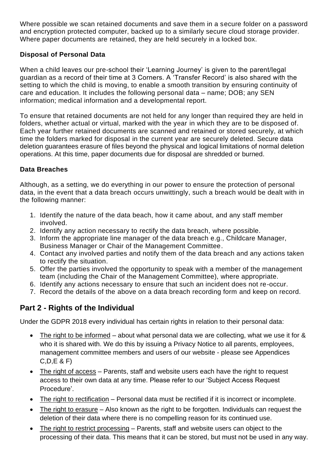Where possible we scan retained documents and save them in a secure folder on a password and encryption protected computer, backed up to a similarly secure cloud storage provider. Where paper documents are retained, they are held securely in a locked box.

### **Disposal of Personal Data**

When a child leaves our pre-school their 'Learning Journey' is given to the parent/legal guardian as a record of their time at 3 Corners. A 'Transfer Record' is also shared with the setting to which the child is moving, to enable a smooth transition by ensuring continuity of care and education. It includes the following personal data – name; DOB; any SEN information; medical information and a developmental report.

To ensure that retained documents are not held for any longer than required they are held in folders, whether actual or virtual, marked with the year in which they are to be disposed of. Each year further retained documents are scanned and retained or stored securely, at which time the folders marked for disposal in the current year are securely deleted. Secure data deletion guarantees erasure of files beyond the physical and logical limitations of normal deletion operations. At this time, paper documents due for disposal are shredded or burned.

### **Data Breaches**

Although, as a setting, we do everything in our power to ensure the protection of personal data, in the event that a data breach occurs unwittingly, such a breach would be dealt with in the following manner:

- 1. Identify the nature of the data beach, how it came about, and any staff member involved.
- 2. Identify any action necessary to rectify the data breach, where possible.
- 3. Inform the appropriate line manager of the data breach e.g., Childcare Manager, Business Manager or Chair of the Management Committee.
- 4. Contact any involved parties and notify them of the data breach and any actions taken to rectify the situation.
- 5. Offer the parties involved the opportunity to speak with a member of the management team (including the Chair of the Management Committee), where appropriate.
- 6. Identify any actions necessary to ensure that such an incident does not re-occur.
- 7. Record the details of the above on a data breach recording form and keep on record.

# **Part 2 - Rights of the Individual**

Under the GDPR 2018 every individual has certain rights in relation to their personal data:

- The right to be informed about what personal data we are collecting, what we use it for & who it is shared with. We do this by issuing a Privacy Notice to all parents, employees, management committee members and users of our website - please see Appendices C,D,E & F)
- The right of  $access Parents$ , staff and website users each have the right to request access to their own data at any time. Please refer to our 'Subject Access Request Procedure'.
- The right to rectification Personal data must be rectified if it is incorrect or incomplete.
- The right to erasure Also known as the right to be forgotten. Individuals can request the deletion of their data where there is no compelling reason for its continued use.
- The right to restrict processing Parents, staff and website users can object to the processing of their data. This means that it can be stored, but must not be used in any way.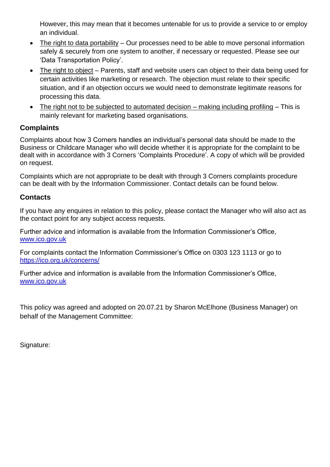However, this may mean that it becomes untenable for us to provide a service to or employ an individual.

- The right to data portability Our processes need to be able to move personal information safely & securely from one system to another, if necessary or requested. Please see our 'Data Transportation Policy'.
- The right to object Parents, staff and website users can object to their data being used for certain activities like marketing or research. The objection must relate to their specific situation, and if an objection occurs we would need to demonstrate legitimate reasons for processing this data.
- The right not to be subjected to automated decision making including profiling This is mainly relevant for marketing based organisations.

## **Complaints**

Complaints about how 3 Corners handles an individual's personal data should be made to the Business or Childcare Manager who will decide whether it is appropriate for the complaint to be dealt with in accordance with 3 Corners 'Complaints Procedure'. A copy of which will be provided on request.

Complaints which are not appropriate to be dealt with through 3 Corners complaints procedure can be dealt with by the Information Commissioner. Contact details can be found below.

## **Contacts**

If you have any enquires in relation to this policy, please contact the Manager who will also act as the contact point for any subject access requests.

Further advice and information is available from the Information Commissioner's Office, www.ico.gov.uk

For complaints contact the Information Commissioner's Office on 0303 123 1113 or go to <https://ico.org.uk/concerns/>

Further advice and information is available from the Information Commissioner's Office, www.ico.gov.uk

This policy was agreed and adopted on 20.07.21 by Sharon McElhone (Business Manager) on behalf of the Management Committee:

Signature: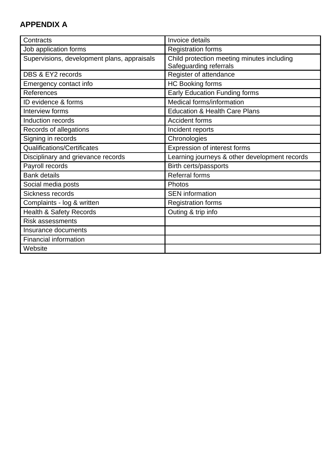# **APPENDIX A**

| Contracts                                   | Invoice details                                                      |
|---------------------------------------------|----------------------------------------------------------------------|
| Job application forms                       | <b>Registration forms</b>                                            |
| Supervisions, development plans, appraisals | Child protection meeting minutes including<br>Safeguarding referrals |
| DBS & EY2 records                           | Register of attendance                                               |
| Emergency contact info                      | <b>HC Booking forms</b>                                              |
| References                                  | <b>Early Education Funding forms</b>                                 |
| ID evidence & forms                         | Medical forms/information                                            |
| Interview forms                             | <b>Education &amp; Health Care Plans</b>                             |
| Induction records                           | <b>Accident forms</b>                                                |
| Records of allegations                      | Incident reports                                                     |
| Signing in records                          | Chronologies                                                         |
| <b>Qualifications/Certificates</b>          | Expression of interest forms                                         |
| Disciplinary and grievance records          | Learning journeys & other development records                        |
| Payroll records                             | Birth certs/passports                                                |
| <b>Bank details</b>                         | <b>Referral forms</b>                                                |
| Social media posts                          | Photos                                                               |
| Sickness records                            | <b>SEN</b> information                                               |
| Complaints - log & written                  | <b>Registration forms</b>                                            |
| <b>Health &amp; Safety Records</b>          | Outing & trip info                                                   |
| <b>Risk assessments</b>                     |                                                                      |
| <b>Insurance documents</b>                  |                                                                      |
| <b>Financial information</b>                |                                                                      |
| Website                                     |                                                                      |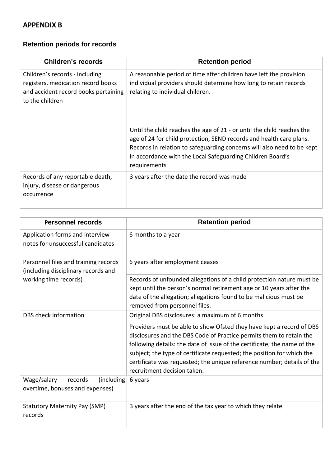## **APPENDIX B**

# **Retention periods for records**

| <b>Children's records</b>                                                                                                       | <b>Retention period</b>                                                                                                                                                                                                                                                                               |
|---------------------------------------------------------------------------------------------------------------------------------|-------------------------------------------------------------------------------------------------------------------------------------------------------------------------------------------------------------------------------------------------------------------------------------------------------|
| Children's records - including<br>registers, medication record books<br>and accident record books pertaining<br>to the children | A reasonable period of time after children have left the provision<br>individual providers should determine how long to retain records<br>relating to individual children.                                                                                                                            |
|                                                                                                                                 | Until the child reaches the age of 21 - or until the child reaches the<br>age of 24 for child protection, SEND records and health care plans.<br>Records in relation to safeguarding concerns will also need to be kept<br>in accordance with the Local Safeguarding Children Board's<br>requirements |
| Records of any reportable death,<br>injury, disease or dangerous<br>occurrence                                                  | 3 years after the date the record was made                                                                                                                                                                                                                                                            |

| <b>Personnel records</b>                                                                             | <b>Retention period</b>                                                                                                                                                                                                                                                                                                                                                                                    |
|------------------------------------------------------------------------------------------------------|------------------------------------------------------------------------------------------------------------------------------------------------------------------------------------------------------------------------------------------------------------------------------------------------------------------------------------------------------------------------------------------------------------|
| Application forms and interview<br>notes for unsuccessful candidates                                 | 6 months to a year                                                                                                                                                                                                                                                                                                                                                                                         |
| Personnel files and training records<br>(including disciplinary records and<br>working time records) | 6 years after employment ceases                                                                                                                                                                                                                                                                                                                                                                            |
|                                                                                                      | Records of unfounded allegations of a child protection nature must be<br>kept until the person's normal retirement age or 10 years after the<br>date of the allegation; allegations found to be malicious must be<br>removed from personnel files.                                                                                                                                                         |
| DBS check information                                                                                | Original DBS disclosures: a maximum of 6 months                                                                                                                                                                                                                                                                                                                                                            |
|                                                                                                      | Providers must be able to show Ofsted they have kept a record of DBS<br>disclosures and the DBS Code of Practice permits them to retain the<br>following details: the date of issue of the certificate; the name of the<br>subject; the type of certificate requested; the position for which the<br>certificate was requested; the unique reference number; details of the<br>recruitment decision taken. |
| (including)<br>Wage/salary<br>records<br>overtime, bonuses and expenses)                             | 6 years                                                                                                                                                                                                                                                                                                                                                                                                    |
| <b>Statutory Maternity Pay (SMP)</b><br>records                                                      | 3 years after the end of the tax year to which they relate                                                                                                                                                                                                                                                                                                                                                 |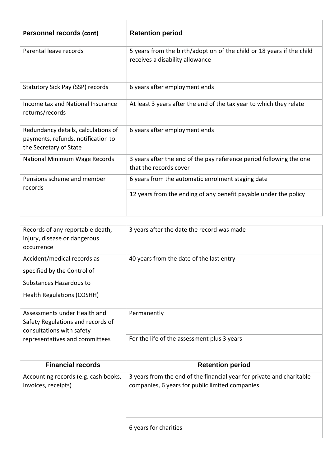| Personnel records (cont)                                                                            | <b>Retention period</b>                                                                                  |
|-----------------------------------------------------------------------------------------------------|----------------------------------------------------------------------------------------------------------|
| Parental leave records                                                                              | 5 years from the birth/adoption of the child or 18 years if the child<br>receives a disability allowance |
| Statutory Sick Pay (SSP) records                                                                    | 6 years after employment ends                                                                            |
| Income tax and National Insurance<br>returns/records                                                | At least 3 years after the end of the tax year to which they relate                                      |
| Redundancy details, calculations of<br>payments, refunds, notification to<br>the Secretary of State | 6 years after employment ends                                                                            |
| National Minimum Wage Records                                                                       | 3 years after the end of the pay reference period following the one<br>that the records cover            |
| Pensions scheme and member<br>records                                                               | 6 years from the automatic enrolment staging date                                                        |
|                                                                                                     | 12 years from the ending of any benefit payable under the policy                                         |

| Records of any reportable death,<br>injury, disease or dangerous<br>occurrence                                                   | 3 years after the date the record was made                                                                               |
|----------------------------------------------------------------------------------------------------------------------------------|--------------------------------------------------------------------------------------------------------------------------|
| Accident/medical records as                                                                                                      | 40 years from the date of the last entry                                                                                 |
| specified by the Control of                                                                                                      |                                                                                                                          |
| Substances Hazardous to                                                                                                          |                                                                                                                          |
| <b>Health Regulations (COSHH)</b>                                                                                                |                                                                                                                          |
| Assessments under Health and<br>Safety Regulations and records of<br>consultations with safety<br>representatives and committees | Permanently                                                                                                              |
|                                                                                                                                  | For the life of the assessment plus 3 years                                                                              |
| <b>Financial records</b>                                                                                                         | <b>Retention period</b>                                                                                                  |
| Accounting records (e.g. cash books,<br>invoices, receipts)                                                                      | 3 years from the end of the financial year for private and charitable<br>companies, 6 years for public limited companies |
|                                                                                                                                  | 6 years for charities                                                                                                    |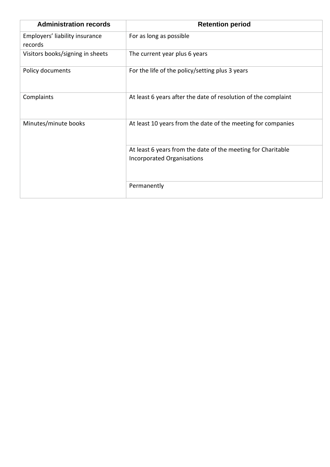| <b>Administration records</b>             | <b>Retention period</b>                                                                    |
|-------------------------------------------|--------------------------------------------------------------------------------------------|
| Employers' liability insurance<br>records | For as long as possible                                                                    |
| Visitors books/signing in sheets          | The current year plus 6 years                                                              |
| Policy documents                          | For the life of the policy/setting plus 3 years                                            |
| Complaints                                | At least 6 years after the date of resolution of the complaint                             |
| Minutes/minute books                      | At least 10 years from the date of the meeting for companies                               |
|                                           | At least 6 years from the date of the meeting for Charitable<br>Incorporated Organisations |
|                                           | Permanently                                                                                |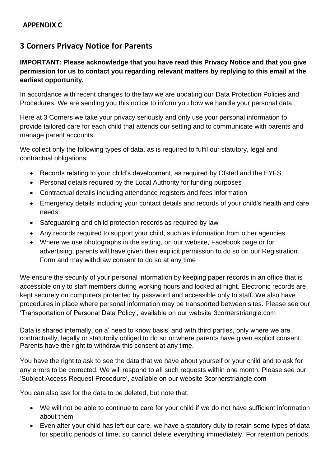# **3 Corners Privacy Notice for Parents**

### **IMPORTANT: Please acknowledge that you have read this Privacy Notice and that you give permission for us to contact you regarding relevant matters by replying to this email at the earliest opportunity.**

In accordance with recent changes to the law we are updating our Data Protection Policies and Procedures. We are sending you this notice to inform you how we handle your personal data.

Here at 3 Corners we take your privacy seriously and only use your personal information to provide tailored care for each child that attends our setting and to communicate with parents and manage parent accounts.

We collect only the following types of data, as is required to fulfil our statutory, legal and contractual obligations:

- Records relating to your child's development, as required by Ofsted and the EYFS
- Personal details required by the Local Authority for funding purposes
- Contractual details including attendance registers and fees information
- Emergency details including your contact details and records of your child's health and care needs
- Safeguarding and child protection records as required by law
- Any records required to support your child, such as information from other agencies
- Where we use photographs in the setting, on our website, Facebook page or for advertising, parents will have given their explicit permission to do so on our Registration Form and may withdraw consent to do so at any time

We ensure the security of your personal information by keeping paper records in an office that is accessible only to staff members during working hours and locked at night. Electronic records are kept securely on computers protected by password and accessible only to staff. We also have procedures in place where personal information may be transported between sites. Please see our 'Transportation of Personal Data Policy', available on our website 3cornerstriangle.com

Data is shared internally, on a' need to know basis' and with third parties, only where we are contractually, legally or statutorily obliged to do so or where parents have given explicit consent. Parents have the right to withdraw this consent at any time.

You have the right to ask to see the data that we have about yourself or your child and to ask for any errors to be corrected. We will respond to all such requests within one month. Please see our 'Subject Access Request Procedure', available on our website 3cornerstriangle.com

You can also ask for the data to be deleted, but note that:

- We will not be able to continue to care for your child if we do not have sufficient information about them
- Even after your child has left our care, we have a statutory duty to retain some types of data for specific periods of time, so cannot delete everything immediately. For retention periods,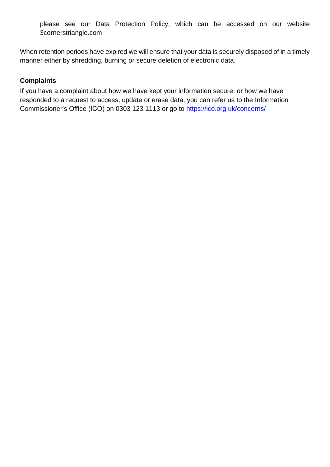please see our Data Protection Policy, which can be accessed on our website 3cornerstriangle.com

When retention periods have expired we will ensure that your data is securely disposed of in a timely manner either by shredding, burning or secure deletion of electronic data.

### **Complaints**

If you have a complaint about how we have kept your information secure, or how we have responded to a request to access, update or erase data, you can refer us to the Information Commissioner's Office (ICO) on 0303 123 1113 or go to<https://ico.org.uk/concerns/>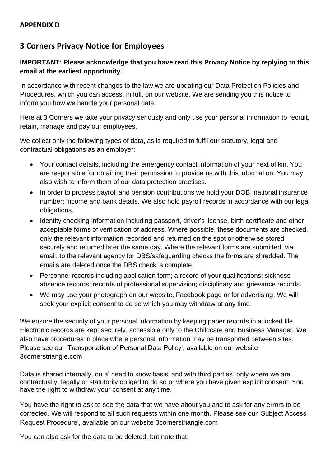# **3 Corners Privacy Notice for Employees**

### **IMPORTANT: Please acknowledge that you have read this Privacy Notice by replying to this email at the earliest opportunity.**

In accordance with recent changes to the law we are updating our Data Protection Policies and Procedures, which you can access, in full, on our website. We are sending you this notice to inform you how we handle your personal data.

Here at 3 Corners we take your privacy seriously and only use your personal information to recruit, retain, manage and pay our employees.

We collect only the following types of data, as is required to fulfil our statutory, legal and contractual obligations as an employer:

- Your contact details, including the emergency contact information of your next of kin. You are responsible for obtaining their permission to provide us with this information. You may also wish to inform them of our data protection practises.
- In order to process payroll and pension contributions we hold your DOB; national insurance number; income and bank details. We also hold payroll records in accordance with our legal obligations.
- Identity checking information including passport, driver's license, birth certificate and other acceptable forms of verification of address. Where possible, these documents are checked, only the relevant information recorded and returned on the spot or otherwise stored securely and returned later the same day. Where the relevant forms are submitted, via email, to the relevant agency for DBS/safeguarding checks the forms are shredded. The emails are deleted once the DBS check is complete.
- Personnel records including application form; a record of your qualifications; sickness absence records; records of professional supervision; disciplinary and grievance records.
- We may use your photograph on our website, Facebook page or for advertising. We will seek your explicit consent to do so which you may withdraw at any time.

We ensure the security of your personal information by keeping paper records in a locked file. Electronic records are kept securely, accessible only to the Childcare and Business Manager. We also have procedures in place where personal information may be transported between sites. Please see our 'Transportation of Personal Data Policy', available on our website 3cornerstriangle.com

Data is shared internally, on a' need to know basis' and with third parties, only where we are contractually, legally or statutorily obliged to do so or where you have given explicit consent. You have the right to withdraw your consent at any time.

You have the right to ask to see the data that we have about you and to ask for any errors to be corrected. We will respond to all such requests within one month. Please see our 'Subject Access Request Procedure', available on our website 3cornerstriangle.com

You can also ask for the data to be deleted, but note that: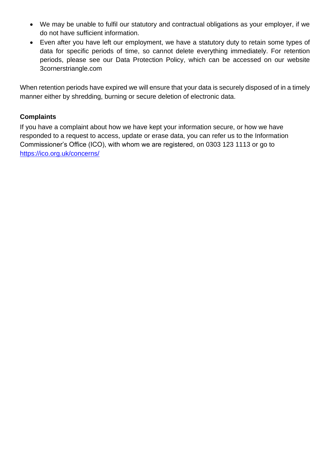- We may be unable to fulfil our statutory and contractual obligations as your employer, if we do not have sufficient information.
- Even after you have left our employment, we have a statutory duty to retain some types of data for specific periods of time, so cannot delete everything immediately. For retention periods, please see our Data Protection Policy, which can be accessed on our website 3cornerstriangle.com

When retention periods have expired we will ensure that your data is securely disposed of in a timely manner either by shredding, burning or secure deletion of electronic data.

### **Complaints**

If you have a complaint about how we have kept your information secure, or how we have responded to a request to access, update or erase data, you can refer us to the Information Commissioner's Office (ICO), with whom we are registered, on 0303 123 1113 or go to <https://ico.org.uk/concerns/>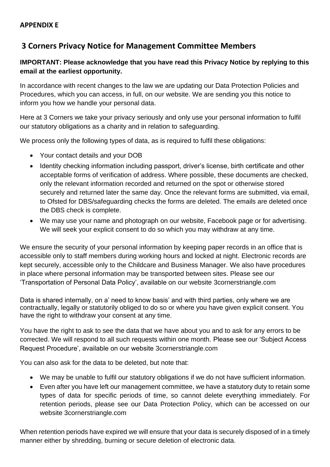# **3 Corners Privacy Notice for Management Committee Members**

### **IMPORTANT: Please acknowledge that you have read this Privacy Notice by replying to this email at the earliest opportunity.**

In accordance with recent changes to the law we are updating our Data Protection Policies and Procedures, which you can access, in full, on our website. We are sending you this notice to inform you how we handle your personal data.

Here at 3 Corners we take your privacy seriously and only use your personal information to fulfil our statutory obligations as a charity and in relation to safeguarding.

We process only the following types of data, as is required to fulfil these obligations:

- Your contact details and your DOB
- Identity checking information including passport, driver's license, birth certificate and other acceptable forms of verification of address. Where possible, these documents are checked, only the relevant information recorded and returned on the spot or otherwise stored securely and returned later the same day. Once the relevant forms are submitted, via email, to Ofsted for DBS/safeguarding checks the forms are deleted. The emails are deleted once the DBS check is complete.
- We may use your name and photograph on our website, Facebook page or for advertising. We will seek your explicit consent to do so which you may withdraw at any time.

We ensure the security of your personal information by keeping paper records in an office that is accessible only to staff members during working hours and locked at night. Electronic records are kept securely, accessible only to the Childcare and Business Manager. We also have procedures in place where personal information may be transported between sites. Please see our 'Transportation of Personal Data Policy', available on our website 3cornerstriangle.com

Data is shared internally, on a' need to know basis' and with third parties, only where we are contractually, legally or statutorily obliged to do so or where you have given explicit consent. You have the right to withdraw your consent at any time.

You have the right to ask to see the data that we have about you and to ask for any errors to be corrected. We will respond to all such requests within one month. Please see our 'Subject Access Request Procedure', available on our website 3cornerstriangle.com

You can also ask for the data to be deleted, but note that:

- We may be unable to fulfil our statutory obligations if we do not have sufficient information.
- Even after you have left our management committee, we have a statutory duty to retain some types of data for specific periods of time, so cannot delete everything immediately. For retention periods, please see our Data Protection Policy, which can be accessed on our website 3cornerstriangle.com

When retention periods have expired we will ensure that your data is securely disposed of in a timely manner either by shredding, burning or secure deletion of electronic data.